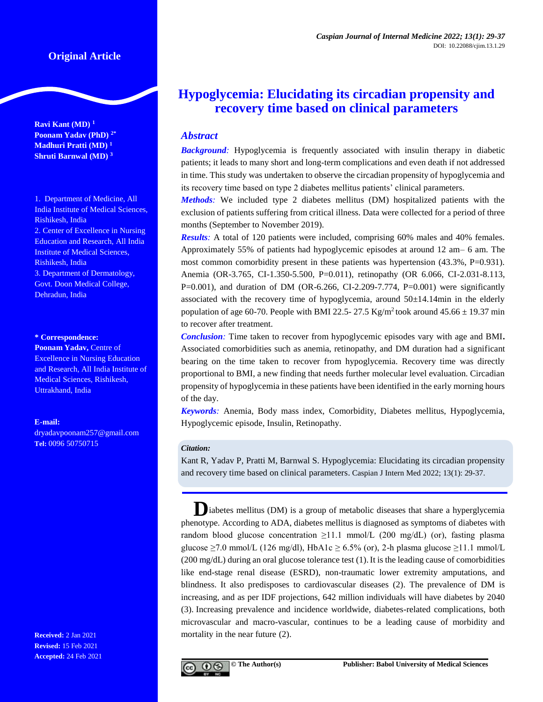# **Original Article**

**Ravi Kant (MD) <sup>1</sup> Poonam Yadav (PhD) 2\* Madhuri Pratti (MD) <sup>1</sup> Shruti Barnwal (MD) <sup>3</sup>**

1. Department of Medicine, All India Institute of Medical Sciences, Rishikesh, India 2. Center of Excellence in Nursing Education and Research, All India Institute of Medical Sciences, Rishikesh, India 3. Department of Dermatology, Govt. Doon Medical College, Dehradun, India

#### **\* Correspondence:**

**Poonam Yadav,** Centre of Excellence in Nursing Education and Research, All India Institute of Medical Sciences, Rishikesh, Uttrakhand, India

#### **E-mail:**

[dryadavpoonam257@gmail.com](mailto:dryadavpoonam257@gmail.com) **Tel:** 0096 50750715

**Received:** 2 Jan 2021 **Revised:** 15 Feb 2021 **Accepted:** 24 Feb 2021

# **Hypoglycemia: Elucidating its circadian propensity and recovery time based on clinical parameters**

## *Abstract*

**Background**: Hypoglycemia is frequently associated with insulin therapy in diabetic patients; it leads to many short and long-term complications and even death if not addressed in time. This study was undertaken to observe the circadian propensity of hypoglycemia and its recovery time based on type 2 diabetes mellitus patients' clinical parameters.

*Methods:* We included type 2 diabetes mellitus (DM) hospitalized patients with the exclusion of patients suffering from critical illness. Data were collected for a period of three months (September to November 2019).

*Results:* A total of 120 patients were included, comprising 60% males and 40% females. Approximately 55% of patients had hypoglycemic episodes at around 12 am– 6 am. The most common comorbidity present in these patients was hypertension (43.3%, P=0.931). Anemia (OR-3.765, CI-1.350-5.500, P=0.011), retinopathy (OR 6.066, CI-2.031-8.113, P=0.001), and duration of DM (OR-6.266, CI-2.209-7.774, P=0.001) were significantly associated with the recovery time of hypoglycemia, around  $50\pm14.14$  min in the elderly population of age 60-70. People with BMI 22.5- 27.5 Kg/m<sup>2</sup> took around  $45.66 \pm 19.37$  min to recover after treatment.

*Conclusion:* Time taken to recover from hypoglycemic episodes vary with age and BMI**.**  Associated comorbidities such as anemia, retinopathy, and DM duration had a significant bearing on the time taken to recover from hypoglycemia. Recovery time was directly proportional to BMI, a new finding that needs further molecular level evaluation. Circadian propensity of hypoglycemia in these patients have been identified in the early morning hours of the day.

*Keywords:* Anemia, Body mass index, Comorbidity, Diabetes mellitus, Hypoglycemia, Hypoglycemic episode, Insulin, Retinopathy.

#### *Citation:*

Kant R, Yadav P, Pratti M, Barnwal S. Hypoglycemia: Elucidating its circadian propensity and recovery time based on clinical parameters. Caspian J Intern Med 2022; 13(1): 29-37.

**Diabetes mellitus (DM) is a group of metabolic diseases that share a hyperglycemia** phenotype. According to ADA, diabetes mellitus is diagnosed as symptoms of diabetes with random blood glucose concentration  $\geq 11.1$  mmol/L (200 mg/dL) (or), fasting plasma glucose  $\geq$ 7.0 mmol/L (126 mg/dl), HbA1c  $\geq$  6.5% (or), 2-h plasma glucose  $\geq$ 11.1 mmol/L (200 mg/dL) during an oral glucose tolerance test (1).It is the leading cause of comorbidities like end-stage renal disease (ESRD), non-traumatic lower extremity amputations, and blindness. It also predisposes to cardiovascular diseases (2). The prevalence of DM is increasing, and as per IDF projections, 642 million individuals will have diabetes by 2040 (3). Increasing prevalence and incidence worldwide, diabetes-related complications, both microvascular and macro-vascular, continues to be a leading cause of morbidity and mortality in the near future (2).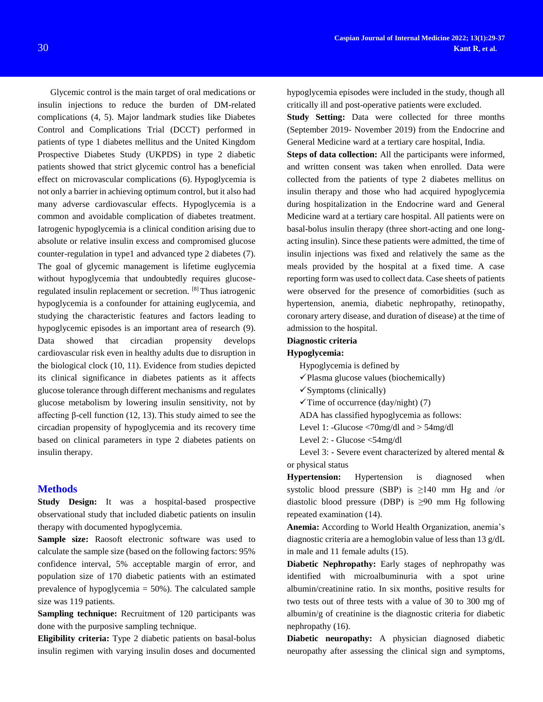Glycemic control is the main target of oral medications or insulin injections to reduce the burden of DM-related complications (4, 5). Major landmark studies like Diabetes Control and Complications Trial (DCCT) performed in patients of type 1 diabetes mellitus and the United Kingdom Prospective Diabetes Study (UKPDS) in type 2 diabetic patients showed that strict glycemic control has a beneficial effect on microvascular complications (6). Hypoglycemia is not only a barrier in achieving optimum control, but it also had many adverse cardiovascular effects. Hypoglycemia is a common and avoidable complication of diabetes treatment. Iatrogenic hypoglycemia is a clinical condition arising due to absolute or relative insulin excess and compromised glucose counter-regulation in type1 and advanced type 2 diabetes (7). The goal of glycemic management is lifetime euglycemia without hypoglycemia that undoubtedly requires glucoseregulated insulin replacement or secretion. [8] Thus iatrogenic hypoglycemia is a confounder for attaining euglycemia, and studying the characteristic features and factors leading to hypoglycemic episodes is an important area of research (9). Data showed that circadian propensity develops cardiovascular risk even in healthy adults due to disruption in the biological clock (10, 11). Evidence from studies depicted its clinical significance in diabetes patients as it affects glucose tolerance through different mechanisms and regulates glucose metabolism by lowering insulin sensitivity, not by affecting β-cell function (12, 13). This study aimed to see the circadian propensity of hypoglycemia and its recovery time based on clinical parameters in type 2 diabetes patients on insulin therapy.

### **Methods**

**Study Design:** It was a hospital-based prospective observational study that included diabetic patients on insulin therapy with documented hypoglycemia.

Sample size: Raosoft electronic software was used to calculate the sample size (based on the following factors: 95% confidence interval, 5% acceptable margin of error, and population size of 170 diabetic patients with an estimated prevalence of hypoglycemia = 50%). The calculated sample size was 119 patients.

**Sampling technique:** Recruitment of 120 participants was done with the purposive sampling technique.

**Eligibility criteria:** Type 2 diabetic patients on basal-bolus insulin regimen with varying insulin doses and documented hypoglycemia episodes were included in the study, though all critically ill and post-operative patients were excluded.

**Study Setting:** Data were collected for three months (September 2019- November 2019) from the Endocrine and General Medicine ward at a tertiary care hospital, India.

**Steps of data collection:** All the participants were informed, and written consent was taken when enrolled. Data were collected from the patients of type 2 diabetes mellitus on insulin therapy and those who had acquired hypoglycemia during hospitalization in the Endocrine ward and General Medicine ward at a tertiary care hospital. All patients were on basal-bolus insulin therapy (three short-acting and one longacting insulin). Since these patients were admitted, the time of insulin injections was fixed and relatively the same as the meals provided by the hospital at a fixed time. A case reporting form was used to collect data. Case sheets of patients were observed for the presence of comorbidities (such as hypertension, anemia, diabetic nephropathy, retinopathy, coronary artery disease, and duration of disease) at the time of admission to the hospital.

#### **Diagnostic criteria**

#### **Hypoglycemia:**

Hypoglycemia is defined by

 $\checkmark$  Plasma glucose values (biochemically)

- $\checkmark$  Symptoms (clinically)
- $\checkmark$  Time of occurrence (day/night) (7)

ADA has classified hypoglycemia as follows:

- Level 1: -Glucose <70mg/dl and > 54mg/dl
- Level 2: Glucose <54mg/dl

Level 3: - Severe event characterized by altered mental & or physical status

**Hypertension:** Hypertension is diagnosed when systolic blood pressure (SBP) is  $\geq 140$  mm Hg and /or diastolic blood pressure (DBP) is  $\geq 90$  mm Hg following repeated examination (14).

**Anemia:** According to World Health Organization, anemia's diagnostic criteria are a hemoglobin value of less than 13 g/dL in male and 11 female adults (15).

**Diabetic Nephropathy:** Early stages of nephropathy was identified with microalbuminuria with a spot urine albumin/creatinine ratio. In six months, positive results for two tests out of three tests with a value of 30 to 300 mg of albumin/g of creatinine is the diagnostic criteria for diabetic nephropathy (16).

**Diabetic neuropathy:** A physician diagnosed diabetic neuropathy after assessing the clinical sign and symptoms,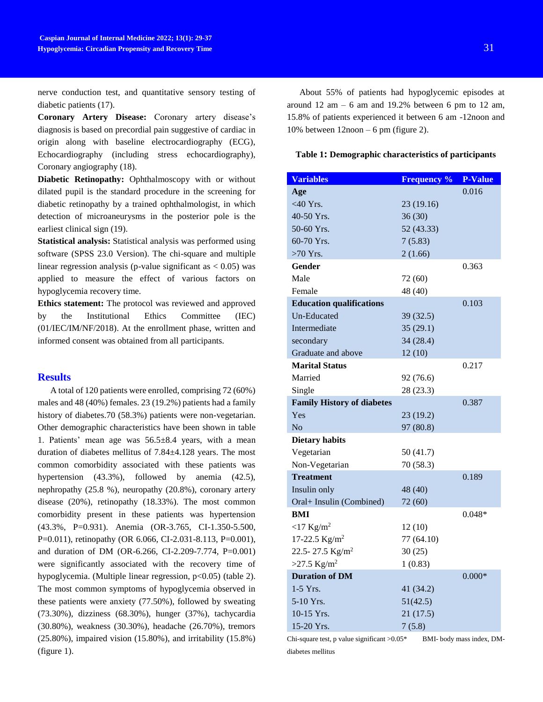nerve conduction test, and quantitative sensory testing of diabetic patients (17).

**Coronary Artery Disease:** Coronary artery disease's diagnosis is based on precordial pain suggestive of cardiac in origin along with baseline electrocardiography (ECG), Echocardiography (including stress echocardiography), Coronary angiography (18).

**Diabetic Retinopathy:** Ophthalmoscopy with or without dilated pupil is the standard procedure in the screening for diabetic retinopathy by a trained ophthalmologist, in which detection of microaneurysms in the posterior pole is the earliest clinical sign (19).

**Statistical analysis:** Statistical analysis was performed using software (SPSS 23.0 Version). The chi-square and multiple linear regression analysis (p-value significant as  $< 0.05$ ) was applied to measure the effect of various factors on hypoglycemia recovery time.

**Ethics statement:** The protocol was reviewed and approved by the Institutional Ethics Committee (IEC) (01/IEC/IM/NF/2018). At the enrollment phase, written and informed consent was obtained from all participants.

## **Results**

A total of 120 patients were enrolled, comprising 72 (60%) males and 48 (40%) females. 23 (19.2%) patients had a family history of diabetes.70 (58.3%) patients were non-vegetarian. Other demographic characteristics have been shown in table 1. Patients' mean age was  $56.5\pm8.4$  years, with a mean duration of diabetes mellitus of 7.84±4.128 years. The most common comorbidity associated with these patients was hypertension (43.3%), followed by anemia (42.5), nephropathy (25.8 %), neuropathy (20.8%), coronary artery disease (20%), retinopathy (18.33%). The most common comorbidity present in these patients was hypertension (43.3%, P=0.931). Anemia (OR-3.765, CI-1.350-5.500, P=0.011), retinopathy (OR 6.066, CI-2.031-8.113, P=0.001), and duration of DM (OR-6.266, CI-2.209-7.774, P=0.001) were significantly associated with the recovery time of hypoglycemia. (Multiple linear regression, p<0.05) (table 2). The most common symptoms of hypoglycemia observed in these patients were anxiety (77.50%), followed by sweating (73.30%), dizziness (68.30%), hunger (37%), tachycardia (30.80%), weakness (30.30%), headache (26.70%), tremors (25.80%), impaired vision (15.80%), and irritability (15.8%) (figure 1).

About 55% of patients had hypoglycemic episodes at around  $12 \text{ am} - 6 \text{ am}$  and  $19.2\%$  between 6 pm to  $12 \text{ am}$ , 15.8% of patients experienced it between 6 am -12noon and 10% between  $12n$ oon – 6 pm (figure 2).

#### **Table 1: Demographic characteristics of participants**

| <b>Variables</b>                  | <b>Frequency %</b> | <b>P-Value</b> |
|-----------------------------------|--------------------|----------------|
| Age                               |                    | 0.016          |
| $<$ 40 Yrs.                       | 23 (19.16)         |                |
| 40-50 Yrs.                        | 36(30)             |                |
| 50-60 Yrs.                        | 52 (43.33)         |                |
| 60-70 Yrs.                        | 7(5.83)            |                |
| $>70$ Yrs.                        | 2(1.66)            |                |
| Gender                            |                    | 0.363          |
| Male                              | 72 (60)            |                |
| Female                            | 48 (40)            |                |
| <b>Education qualifications</b>   |                    | 0.103          |
| Un-Educated                       | 39 (32.5)          |                |
| Intermediate                      | 35(29.1)           |                |
| secondary                         | 34(28.4)           |                |
| Graduate and above                | 12(10)             |                |
| <b>Marital Status</b>             |                    | 0.217          |
| Married                           | 92 (76.6)          |                |
| Single                            | 28 (23.3)          |                |
| <b>Family History of diabetes</b> |                    | 0.387          |
| Yes                               | 23 (19.2)          |                |
| No                                | 97 (80.8)          |                |
| <b>Dietary habits</b>             |                    |                |
| Vegetarian                        | 50(41.7)           |                |
| Non-Vegetarian                    | 70 (58.3)          |                |
| <b>Treatment</b>                  |                    | 0.189          |
| Insulin only                      | 48 (40)            |                |
| Oral+ Insulin (Combined)          | 72 (60)            |                |
| BMI                               |                    | $0.048*$       |
| $<$ 17 Kg/m <sup>2</sup>          | 12(10)             |                |
| 17-22.5 $Kg/m^2$                  | 77 (64.10)         |                |
| 22.5-27.5 Kg/m <sup>2</sup>       | 30(25)             |                |
| $>27.5$ Kg/m <sup>2</sup>         | 1(0.83)            |                |
| <b>Duration of DM</b>             |                    | $0.000*$       |
| $1-5$ Yrs.                        | 41 (34.2)          |                |
| 5-10 Yrs.                         | 51(42.5)           |                |
| 10-15 Yrs.                        | 21(17.5)           |                |
| 15-20 Yrs.                        | 7(5.8)             |                |

Chi-square test, p value significant >0.05\* BMI- body mass index, DMdiabetes mellitus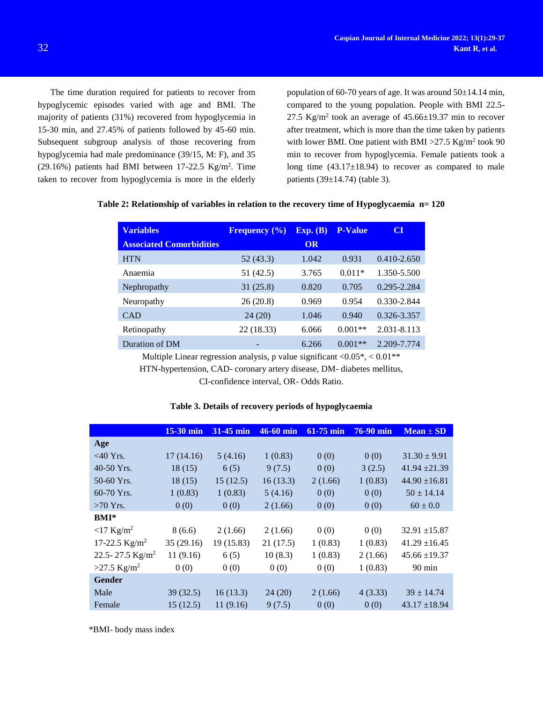The time duration required for patients to recover from hypoglycemic episodes varied with age and BMI. The majority of patients (31%) recovered from hypoglycemia in 15-30 min, and 27.45% of patients followed by 45-60 min. Subsequent subgroup analysis of those recovering from hypoglycemia had male predominance (39/15, M: F), and 35  $(29.16%)$  patients had BMI between 17-22.5 Kg/m<sup>2</sup>. Time taken to recover from hypoglycemia is more in the elderly

population of 60-70 years of age. It was around  $50\pm14.14$  min, compared to the young population. People with BMI 22.5- 27.5 Kg/m<sup>2</sup> took an average of  $45.66 \pm 19.37$  min to recover after treatment, which is more than the time taken by patients with lower BMI. One patient with BMI  $>27.5$  Kg/m<sup>2</sup> took 90 min to recover from hypoglycemia. Female patients took a long time  $(43.17\pm18.94)$  to recover as compared to male patients (39±14.74) (table 3).

|  | Table 2: Relationship of variables in relation to the recovery time of Hypoglycaemia $n = 120$ |  |
|--|------------------------------------------------------------------------------------------------|--|
|  |                                                                                                |  |

| <b>Variables</b>                | <b>Frequency</b> $(\%)$ | Exp. (B) | <b>P-Value</b> | CI              |
|---------------------------------|-------------------------|----------|----------------|-----------------|
| <b>Associated Comorbidities</b> |                         | OR       |                |                 |
| <b>HTN</b>                      | 52 (43.3)               | 1.042    | 0.931          | $0.410 - 2.650$ |
| Anaemia                         | 51 (42.5)               | 3.765    | $0.011*$       | 1.350-5.500     |
| Nephropathy                     | 31(25.8)                | 0.820    | 0.705          | $0.295 - 2.284$ |
| Neuropathy                      | 26(20.8)                | 0.969    | 0.954          | 0.330-2.844     |
| <b>CAD</b>                      | 24(20)                  | 1.046    | 0.940          | 0.326-3.357     |
| Retinopathy                     | 22 (18.33)              | 6.066    | $0.001**$      | 2.031-8.113     |
| Duration of DM                  |                         | 6.266    | $0.001**$      | 2.209-7.774     |

Multiple Linear regression analysis, p value significant  $\langle 0.05^* \rangle$ ,  $\langle 0.01^{**} \rangle$ 

HTN-hypertension, CAD- coronary artery disease, DM- diabetes mellitus,

CI-confidence interval, OR- Odds Ratio.

|                           | $15-30$ min | 31-45 min | $46-60$ min | $61-75$ min | <b>76-90 min</b> | $Mean \pm SD$     |
|---------------------------|-------------|-----------|-------------|-------------|------------------|-------------------|
| Age                       |             |           |             |             |                  |                   |
| $<$ 40 Yrs.               | 17(14.16)   | 5(4.16)   | 1(0.83)     | 0(0)        | 0(0)             | $31.30 \pm 9.91$  |
| 40-50 Yrs.                | 18(15)      | 6(5)      | 9(7.5)      | 0(0)        | 3(2.5)           | $41.94 \pm 21.39$ |
| 50-60 Yrs.                | 18(15)      | 15(12.5)  | 16(13.3)    | 2(1.66)     | 1(0.83)          | $44.90 \pm 16.81$ |
| 60-70 Yrs.                | 1(0.83)     | 1(0.83)   | 5(4.16)     | 0(0)        | 0(0)             | $50 \pm 14.14$    |
| $>70$ Yrs.                | 0(0)        | 0(0)      | 2(1.66)     | 0(0)        | 0(0)             | $60 \pm 0.0$      |
| $BMI*$                    |             |           |             |             |                  |                   |
| $<$ 17 Kg/m <sup>2</sup>  | 8(6.6)      | 2(1.66)   | 2(1.66)     | 0(0)        | 0(0)             | $32.91 \pm 15.87$ |
| 17-22.5 $Kg/m^2$          | 35(29.16)   | 19(15.83) | 21(17.5)    | 1(0.83)     | 1(0.83)          | $41.29 \pm 16.45$ |
| 22.5-27.5 $Kg/m^2$        | 11(9.16)    | 6(5)      | 10(8.3)     | 1(0.83)     | 2(1.66)          | $45.66 \pm 19.37$ |
| $>27.5$ Kg/m <sup>2</sup> | 0(0)        | 0(0)      | 0(0)        | 0(0)        | 1(0.83)          | $90 \text{ min}$  |
| <b>Gender</b>             |             |           |             |             |                  |                   |
| Male                      | 39(32.5)    | 16(13.3)  | 24(20)      | 2(1.66)     | 4(3.33)          | $39 \pm 14.74$    |
| Female                    | 15(12.5)    | 11(9.16)  | 9(7.5)      | 0(0)        | 0(0)             | $43.17 \pm 18.94$ |

## **Table 3. Details of recovery periods of hypoglycaemia**

\*BMI- body mass index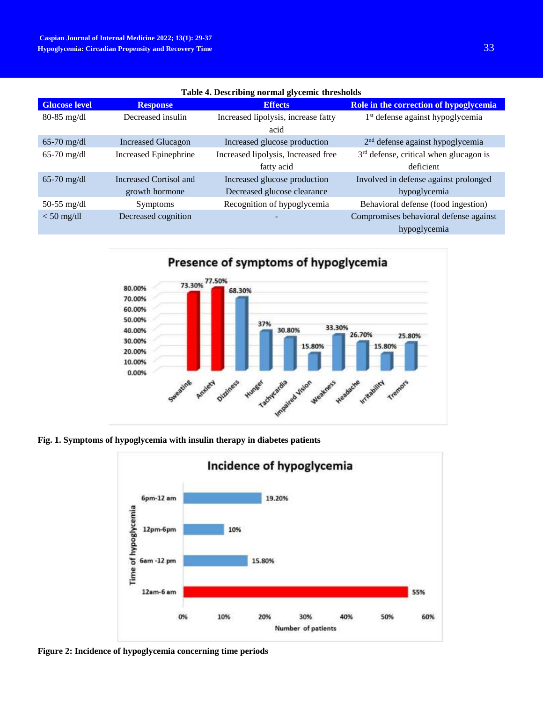| Table 4. Describing normal glycemic thresholds |                              |                                             |                                              |  |  |
|------------------------------------------------|------------------------------|---------------------------------------------|----------------------------------------------|--|--|
| <b>Glucose level</b>                           | <b>Response</b>              | <b>Effects</b>                              | Role in the correction of hypoglycemia       |  |  |
| $80-85$ mg/dl                                  | Decreased insulin            | Increased lipolysis, increase fatty<br>acid | 1 <sup>st</sup> defense against hypoglycemia |  |  |
| $65-70$ mg/dl                                  | <b>Increased Glucagon</b>    | Increased glucose production                | 2 <sup>nd</sup> defense against hypoglycemia |  |  |
| $65-70$ mg/dl                                  | <b>Increased Epinephrine</b> | Increased lipolysis, Increased free         | $3rd$ defense, critical when glucagon is     |  |  |
|                                                |                              | fatty acid                                  | deficient                                    |  |  |
| $65-70$ mg/dl                                  | Increased Cortisol and       | Increased glucose production                | Involved in defense against prolonged        |  |  |
|                                                | growth hormone               | Decreased glucose clearance                 | hypoglycemia                                 |  |  |
| $50-55$ mg/dl                                  | <b>Symptoms</b>              | Recognition of hypoglycemia                 | Behavioral defense (food ingestion)          |  |  |
| $<$ 50 mg/dl                                   | Decreased cognition          |                                             | Compromises behavioral defense against       |  |  |
|                                                |                              |                                             | hypoglycemia                                 |  |  |

**Table 4. Describing normal glycemic thresholds**



**Fig. 1. Symptoms of hypoglycemia with insulin therapy in diabetes patients**



**Figure 2: Incidence of hypoglycemia concerning time periods**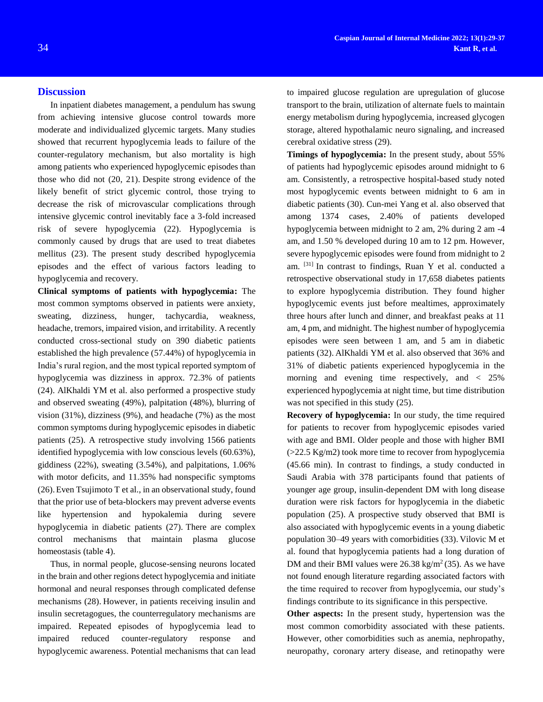### **Discussion**

In inpatient diabetes management, a pendulum has swung from achieving intensive glucose control towards more moderate and individualized glycemic targets. Many studies showed that recurrent hypoglycemia leads to failure of the counter-regulatory mechanism, but also mortality is high among patients who experienced hypoglycemic episodes than those who did not (20, 21). Despite strong evidence of the likely benefit of strict glycemic control, those trying to decrease the risk of microvascular complications through intensive glycemic control inevitably face a 3-fold increased risk of severe hypoglycemia (22). Hypoglycemia is commonly caused by drugs that are used to treat diabetes mellitus (23). The present study described hypoglycemia episodes and the effect of various factors leading to hypoglycemia and recovery.

**Clinical symptoms of patients with hypoglycemia:** The most common symptoms observed in patients were anxiety, sweating, dizziness, hunger, tachycardia, weakness, headache, tremors, impaired vision, and irritability. A recently conducted cross-sectional study on 390 diabetic patients established the high prevalence (57.44%) of hypoglycemia in India's rural region, and the most typical reported symptom of hypoglycemia was dizziness in approx. 72.3% of patients (24). AlKhaldi YM et al. also performed a prospective study and observed sweating (49%), palpitation (48%), blurring of vision (31%), dizziness (9%), and headache (7%) as the most common symptoms during hypoglycemic episodes in diabetic patients (25). A retrospective study involving 1566 patients identified hypoglycemia with low conscious levels (60.63%), giddiness (22%), sweating (3.54%), and palpitations, 1.06% with motor deficits, and 11.35% had nonspecific symptoms (26).Even Tsujimoto T et al., in an observational study, found that the prior use of beta-blockers may prevent adverse events like hypertension and hypokalemia during severe hypoglycemia in diabetic patients (27). There are complex control mechanisms that maintain plasma glucose homeostasis (table 4).

Thus, in normal people, glucose-sensing neurons located in the brain and other regions detect hypoglycemia and initiate hormonal and neural responses through complicated defense mechanisms (28). However, in patients receiving insulin and insulin secretagogues, the counterregulatory mechanisms are impaired. Repeated episodes of hypoglycemia lead to impaired reduced counter-regulatory response and hypoglycemic awareness. Potential mechanisms that can lead

to impaired glucose regulation are upregulation of glucose transport to the brain, utilization of alternate fuels to maintain energy metabolism during hypoglycemia, increased glycogen storage, altered hypothalamic neuro signaling, and increased cerebral oxidative stress (29).

**Timings of hypoglycemia:** In the present study, about 55% of patients had hypoglycemic episodes around midnight to 6 am. Consistently, a retrospective hospital-based study noted most hypoglycemic events between midnight to 6 am in diabetic patients (30). Cun-mei Yang et al. also observed that among 1374 cases, 2.40% of patients developed hypoglycemia between midnight to 2 am, 2% during 2 am -4 am, and 1.50 % developed during 10 am to 12 pm. However, severe hypoglycemic episodes were found from midnight to 2 am. [31] In contrast to findings, Ruan Y et al. conducted a retrospective observational study in 17,658 diabetes patients to explore hypoglycemia distribution. They found higher hypoglycemic events just before mealtimes, approximately three hours after lunch and dinner, and breakfast peaks at 11 am, 4 pm, and midnight. The highest number of hypoglycemia episodes were seen between 1 am, and 5 am in diabetic patients (32). AlKhaldi YM et al. also observed that 36% and 31% of diabetic patients experienced hypoglycemia in the morning and evening time respectively, and  $\lt$  25% experienced hypoglycemia at night time, but time distribution was not specified in this study (25).

**Recovery of hypoglycemia:** In our study, the time required for patients to recover from hypoglycemic episodes varied with age and BMI. Older people and those with higher BMI  $(>22.5 \text{ Kg/m2})$  took more time to recover from hypoglycemia (45.66 min). In contrast to findings, a study conducted in Saudi Arabia with 378 participants found that patients of younger age group, insulin-dependent DM with long disease duration were risk factors for hypoglycemia in the diabetic population (25). A prospective study observed that BMI is also associated with hypoglycemic events in a young diabetic population 30–49 years with comorbidities (33). Vilovic M et al. found that hypoglycemia patients had a long duration of DM and their BMI values were  $26.38 \text{ kg/m}^2(35)$ . As we have not found enough literature regarding associated factors with the time required to recover from hypoglycemia, our study's findings contribute to its significance in this perspective.

**Other aspects:** In the present study, hypertension was the most common comorbidity associated with these patients. However, other comorbidities such as anemia, nephropathy, neuropathy, coronary artery disease, and retinopathy were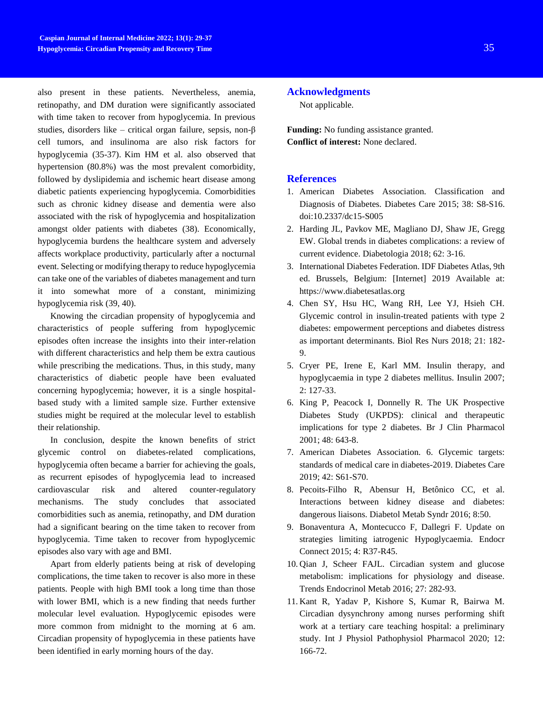also present in these patients. Nevertheless, anemia, retinopathy, and DM duration were significantly associated with time taken to recover from hypoglycemia. In previous studies, disorders like – critical organ failure, sepsis, non-β cell tumors, and insulinoma are also risk factors for hypoglycemia (35-37). Kim HM et al. also observed that hypertension (80.8%) was the most prevalent comorbidity, followed by dyslipidemia and ischemic heart disease among diabetic patients experiencing hypoglycemia. Comorbidities such as chronic kidney disease and dementia were also associated with the risk of hypoglycemia and hospitalization amongst older patients with diabetes (38). Economically, hypoglycemia burdens the healthcare system and adversely affects workplace productivity, particularly after a nocturnal event. Selecting or modifying therapy to reduce hypoglycemia can take one of the variables of diabetes management and turn it into somewhat more of a constant, minimizing hypoglycemia risk (39, 40).

Knowing the circadian propensity of hypoglycemia and characteristics of people suffering from hypoglycemic episodes often increase the insights into their inter-relation with different characteristics and help them be extra cautious while prescribing the medications. Thus, in this study, many characteristics of diabetic people have been evaluated concerning hypoglycemia; however, it is a single hospitalbased study with a limited sample size. Further extensive studies might be required at the molecular level to establish their relationship.

In conclusion, despite the known benefits of strict glycemic control on diabetes-related complications, hypoglycemia often became a barrier for achieving the goals, as recurrent episodes of hypoglycemia lead to increased cardiovascular risk and altered counter-regulatory mechanisms. The study concludes that associated comorbidities such as anemia, retinopathy, and DM duration had a significant bearing on the time taken to recover from hypoglycemia. Time taken to recover from hypoglycemic episodes also vary with age and BMI.

Apart from elderly patients being at risk of developing complications, the time taken to recover is also more in these patients. People with high BMI took a long time than those with lower BMI, which is a new finding that needs further molecular level evaluation. Hypoglycemic episodes were more common from midnight to the morning at 6 am. Circadian propensity of hypoglycemia in these patients have been identified in early morning hours of the day.

## **Acknowledgments**

Not applicable.

**Funding:** No funding assistance granted. **Conflict of interest:** None declared.

## **References**

- 1. American Diabetes Association. Classification and Diagnosis of Diabetes. Diabetes Care 2015; 38: S8-S16. doi:10.2337/dc15-S005
- 2. Harding JL, Pavkov ME, Magliano DJ, Shaw JE, Gregg EW. Global trends in diabetes complications: a review of current evidence. Diabetologia 2018; 62: 3-16.
- 3. International Diabetes Federation. IDF Diabetes Atlas, 9th ed. Brussels, Belgium: [Internet] 2019 Available at: [https://www.diabetesatlas.org](https://www.diabetesatlas.org/)
- 4. Chen SY, Hsu HC, Wang RH, Lee YJ, Hsieh CH. Glycemic control in insulin-treated patients with type 2 diabetes: empowerment perceptions and diabetes distress as important determinants. Biol Res Nurs 2018; 21: 182- 9.
- 5. Cryer PE, Irene E, Karl MM. Insulin therapy, and hypoglycaemia in type 2 diabetes mellitus. Insulin 2007; 2: 127-33.
- 6. King P, Peacock I, Donnelly R. The UK Prospective Diabetes Study (UKPDS): clinical and therapeutic implications for type 2 diabetes. Br J Clin Pharmacol 2001; 48: 643-8.
- 7. American Diabetes Association. 6. Glycemic targets: standards of medical care in diabetes-2019. Diabetes Care 2019; 42: S61-S70.
- 8. Pecoits-Filho R, Abensur H, Betônico CC, et al. Interactions between kidney disease and diabetes: dangerous liaisons. Diabetol Metab Syndr 2016; 8:50.
- 9. Bonaventura A, Montecucco F, Dallegri F. Update on strategies limiting iatrogenic Hypoglycaemia. Endocr Connect 2015; 4: R37-R45.
- 10. Qian J, Scheer FAJL. Circadian system and glucose metabolism: implications for physiology and disease. Trends Endocrinol Metab 2016; 27: 282-93.
- 11. Kant R, Yadav P, Kishore S, Kumar R, Bairwa M. Circadian dysynchrony among nurses performing shift work at a tertiary care teaching hospital: a preliminary study. Int J Physiol Pathophysiol Pharmacol 2020; 12: 166-72.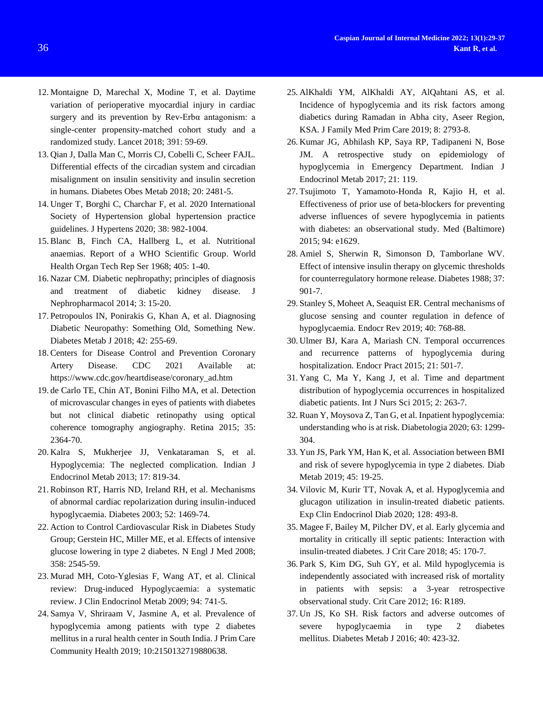- 12. Montaigne D, Marechal X, Modine T, et al. Daytime variation of perioperative myocardial injury in cardiac surgery and its prevention by Rev-Erbα antagonism: a single-center propensity-matched cohort study and a randomized study. Lancet 2018; 391: 59-69.
- 13. Qian J, Dalla Man C, Morris CJ, Cobelli C, Scheer FAJL. Differential effects of the circadian system and circadian misalignment on insulin sensitivity and insulin secretion in humans. Diabetes Obes Metab 2018; 20: 2481-5.
- 14. Unger T, Borghi C, Charchar F, et al. 2020 International Society of Hypertension global hypertension practice guidelines. J Hypertens 2020; 38: 982-1004.
- 15. Blanc B, Finch CA, Hallberg L, et al. Nutritional anaemias. Report of a WHO Scientific Group. World Health Organ Tech Rep Ser 1968; 405: 1-40.
- 16. Nazar CM. Diabetic nephropathy; principles of diagnosis and treatment of diabetic kidney disease. J Nephropharmacol 2014; 3: 15-20.
- 17. Petropoulos IN, Ponirakis G, Khan A, et al. Diagnosing Diabetic Neuropathy: Something Old, Something New. Diabetes Metab J 2018; 42: 255-69.
- 18. Centers for Disease Control and Prevention Coronary Artery Disease. CDC 2021 Available at: [https://www.cdc.gov/heartdisease/coronary\\_ad.htm](https://www.cdc.gov/heartdisease/coronary_ad.htm)
- 19. de Carlo TE, Chin AT, Bonini Filho MA, et al. Detection of microvascular changes in eyes of patients with diabetes but not clinical diabetic retinopathy using optical coherence tomography angiography. Retina 2015; 35: 2364-70.
- 20. Kalra S, Mukherjee JJ, Venkataraman S, et al. Hypoglycemia: The neglected complication. Indian J Endocrinol Metab 2013; 17: 819-34.
- 21. Robinson RT, Harris ND, Ireland RH, et al. Mechanisms of abnormal cardiac repolarization during insulin-induced hypoglycaemia. Diabetes 2003; 52: 1469-74.
- 22. Action to Control Cardiovascular Risk in Diabetes Study Group; Gerstein HC, Miller ME, et al. Effects of intensive glucose lowering in type 2 diabetes. N Engl J Med 2008; 358: 2545-59.
- 23. Murad MH, Coto-Yglesias F, Wang AT, et al. Clinical review: Drug-induced Hypoglycaemia: a systematic review. J Clin Endocrinol Metab 2009; 94: 741-5.
- 24. Samya V, Shriraam V, Jasmine A, et al. Prevalence of hypoglycemia among patients with type 2 diabetes mellitus in a rural health center in South India. J Prim Care Community Health 2019; 10:2150132719880638.
- 25. AlKhaldi YM, AlKhaldi AY, AlQahtani AS, et al. Incidence of hypoglycemia and its risk factors among diabetics during Ramadan in Abha city, Aseer Region, KSA. J Family Med Prim Care 2019; 8: 2793-8.
- 26. Kumar JG, Abhilash KP, Saya RP, Tadipaneni N, Bose JM. A retrospective study on epidemiology of hypoglycemia in Emergency Department. Indian J Endocrinol Metab 2017; 21: 119.
- 27. Tsujimoto T, Yamamoto-Honda R, Kajio H, et al. Effectiveness of prior use of beta-blockers for preventing adverse influences of severe hypoglycemia in patients with diabetes: an observational study. Med (Baltimore) 2015; 94: e1629.
- 28. Amiel S, Sherwin R, Simonson D, Tamborlane WV. Effect of intensive insulin therapy on glycemic thresholds for counterregulatory hormone release. Diabetes 1988; 37: 901-7.
- 29. Stanley S, Moheet A, Seaquist ER. Central mechanisms of glucose sensing and counter regulation in defence of hypoglycaemia. Endocr Rev 2019; 40: 768-88.
- 30. Ulmer BJ, Kara A, Mariash CN. Temporal occurrences and recurrence patterns of hypoglycemia during hospitalization. Endocr Pract 2015; 21: 501-7.
- 31. Yang C, Ma Y, Kang J, et al. Time and department distribution of hypoglycemia occurrences in hospitalized diabetic patients. Int J Nurs Sci 2015; 2: 263-7.
- 32. Ruan Y, Moysova Z, Tan G, et al. Inpatient hypoglycemia: understanding who is at risk. Diabetologia 2020; 63: 1299- 304.
- 33. Yun JS, Park YM, Han K, et al. Association between BMI and risk of severe hypoglycemia in type 2 diabetes. Diab Metab 2019; 45: 19-25.
- 34. Vilovic M, Kurir TT, Novak A, et al. Hypoglycemia and glucagon utilization in insulin-treated diabetic patients. Exp Clin Endocrinol Diab 2020; 128: 493-8.
- 35. Magee F, Bailey M, Pilcher DV, et al. Early glycemia and mortality in critically ill septic patients: Interaction with insulin-treated diabetes. J Crit Care 2018; 45: 170-7.
- 36. Park S, Kim DG, Suh GY, et al. Mild hypoglycemia is independently associated with increased risk of mortality in patients with sepsis: a 3-year retrospective observational study. Crit Care 2012; 16: R189.
- 37. Un JS, Ko SH. Risk factors and adverse outcomes of severe hypoglycaemia in type 2 diabetes mellitus. Diabetes Metab J 2016; 40: 423-32.